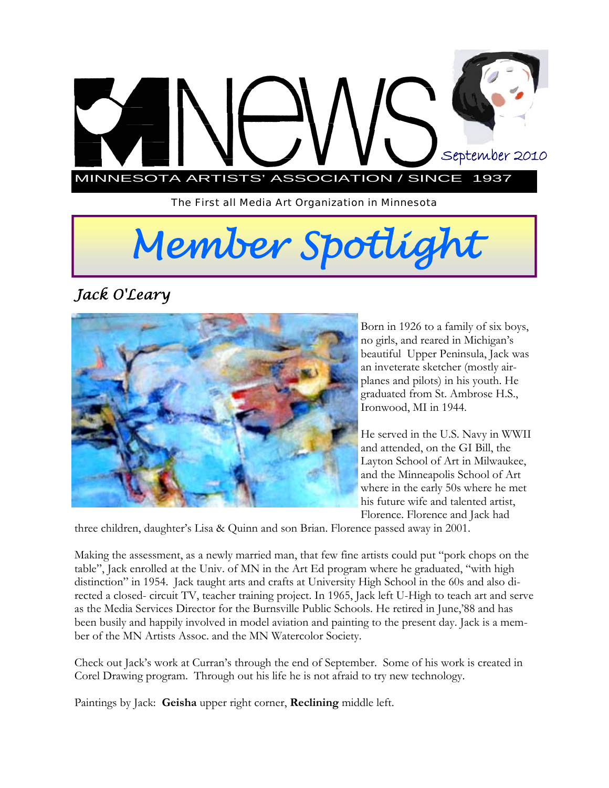

*The First all Media Art Organization in Minnesota* 

# *Member Spotlight*

*Jack O'Leary* 



Born in 1926 to a family of six boys, no girls, and reared in Michigan's beautiful Upper Peninsula, Jack was an inveterate sketcher (mostly airplanes and pilots) in his youth. He graduated from St. Ambrose H.S., Ironwood, MI in 1944.

He served in the U.S. Navy in WWII and attended, on the GI Bill, the Layton School of Art in Milwaukee, and the Minneapolis School of Art where in the early 50s where he met his future wife and talented artist, Florence. Florence and Jack had

three children, daughter's Lisa & Quinn and son Brian. Florence passed away in 2001.

Making the assessment, as a newly married man, that few fine artists could put "pork chops on the table", Jack enrolled at the Univ. of MN in the Art Ed program where he graduated, "with high distinction" in 1954. Jack taught arts and crafts at University High School in the 60s and also directed a closed- circuit TV, teacher training project. In 1965, Jack left U-High to teach art and serve as the Media Services Director for the Burnsville Public Schools. He retired in June,'88 and has been busily and happily involved in model aviation and painting to the present day. Jack is a member of the MN Artists Assoc. and the MN Watercolor Society.

Check out Jack's work at Curran's through the end of September. Some of his work is created in Corel Drawing program. Through out his life he is not afraid to try new technology.

Paintings by Jack: **Geisha** upper right corner, **Reclining** middle left.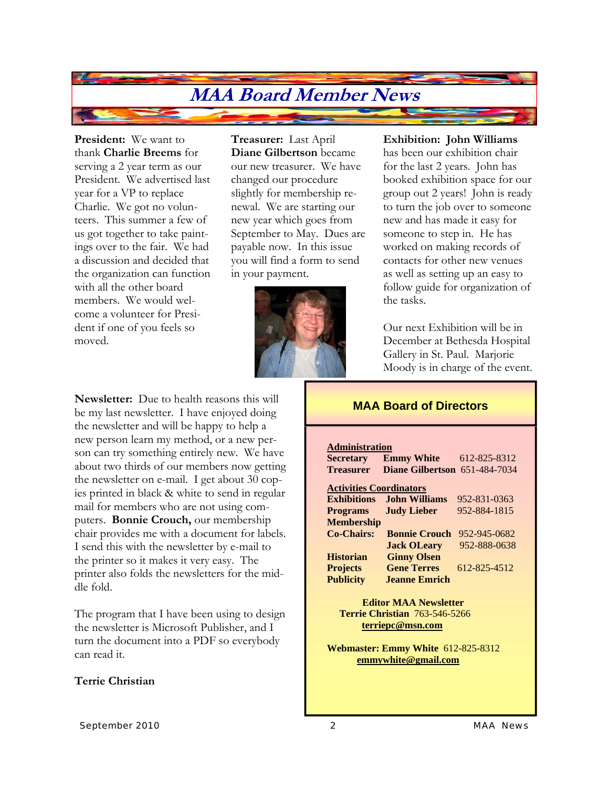### **MAA Board Member News**

**President:** We want to thank **Charlie Breems** for serving a 2 year term as our President. We advertised last year for a VP to replace Charlie. We got no volunteers. This summer a few of us got together to take paintings over to the fair. We had a discussion and decided that the organization can function with all the other board members. We would welcome a volunteer for President if one of you feels so moved.

**Treasurer:** Last April **Diane Gilbertson** became our new treasurer. We have changed our procedure slightly for membership renewal. We are starting our new year which goes from September to May. Dues are payable now. In this issue you will find a form to send in your payment.



**Newsletter:** Due to health reasons this will be my last newsletter. I have enjoyed doing the newsletter and will be happy to help a new person learn my method, or a new person can try something entirely new. We have about two thirds of our members now getting the newsletter on e-mail. I get about 30 copies printed in black & white to send in regular mail for members who are not using computers. **Bonnie Crouch,** our membership chair provides me with a document for labels. I send this with the newsletter by e-mail to the printer so it makes it very easy. The printer also folds the newsletters for the middle fold.

The program that I have been using to design the newsletter is Microsoft Publisher, and I turn the document into a PDF so everybody can read it.

#### **Terrie Christian**

#### **Exhibition: John Williams**

has been our exhibition chair for the last 2 years. John has booked exhibition space for our group out 2 years! John is ready to turn the job over to someone new and has made it easy for someone to step in. He has worked on making records of contacts for other new venues as well as setting up an easy to follow guide for organization of the tasks.

Our next Exhibition will be in December at Bethesda Hospital Gallery in St. Paul. Marjorie Moody is in charge of the event.

#### **MAA Board of Directors**

#### **Administration**

**Secretary Emmy White** 612-825-8312 **Treasurer Diane Gilbertson** 651-484-7034 **Activities Coordinators Exhibitions John Williams** 952-831-0363 **Programs Judy Lieber** 952-884-1815 **Membership Co-Chairs: Bonnie Crouch** 952-945-0682 **Jack OLeary** 952-888-0638

**Historian Ginny Olsen Projects Gene Terres** 612-825-4512 **Publicity Jeanne Emrich** 

 **Editor MAA Newsletter Terrie Christian** 763-546-5266 **terriepc@msn.com**

**Webmaster: Emmy White** 612-825-8312  **emmywhite@gmail.com**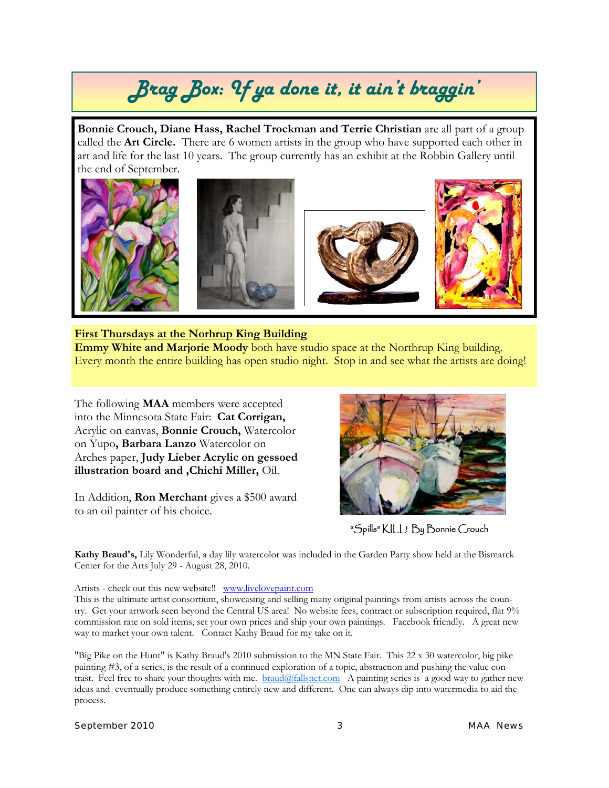## *Brag Box: If ya done it, it ain't braggin'*

**Bonnie Crouch, Diane Hass, Rachel Trockman and Terrie Christian** are all part of a group called the **Art Circle.** There are 6 women artists in the group who have supported each other in art and life for the last 10 years. The group currently has an exhibit at the Robbin Gallery until the end of September.



#### **First Thursdays at the Norhrup King Building Emmy White and Marjorie Moody** both have studio space at the Northrup King building.

Every month the entire building has open studio night. Stop in and see what the artists are doing!

The following **MAA** members were accepted into the Minnesota State Fair: **Cat Corrigan,**  Acrylic on canvas, **Bonnie Crouch,** Watercolor on Yupo**, Barbara Lanzo** Watercolor on Arches paper, **Judy Lieber Acrylic on gessoed illustration board and ,Chichi Miller,** Oil.

In Addition, **Ron Merchant** gives a \$500 award to an oil painter of his choice.



"Spills" KILL! By Bonnie Crouch

**Kathy Braud's,** Lily Wonderful, a day lily watercolor was included in the Garden Party show held at the Bismarck Center for the Arts July 29 - August 28, 2010.

Artists - check out this new website!! www.livelovepaint.com

This is the ultimate artist consortium, showcasing and selling many original paintings from artists across the country. Get your artwork seen beyond the Central US area! No website fees, contract or subscription required, flat 9% commission rate on sold items, set your own prices and ship your own paintings. Facebook friendly. A great new way to market your own talent. Contact Kathy Braud for my take on it.

"Big Pike on the Hunt" is Kathy Braud's 2010 submission to the MN State Fair. This 22 x 30 watercolor, big pike painting #3, of a series, is the result of a continued exploration of a topic, abstraction and pushing the value contrast. Feel free to share your thoughts with me. **braud@fallsnet.com** A painting series is a good way to gather new ideas and eventually produce something entirely new and different. One can always dip into watermedia to aid the process.